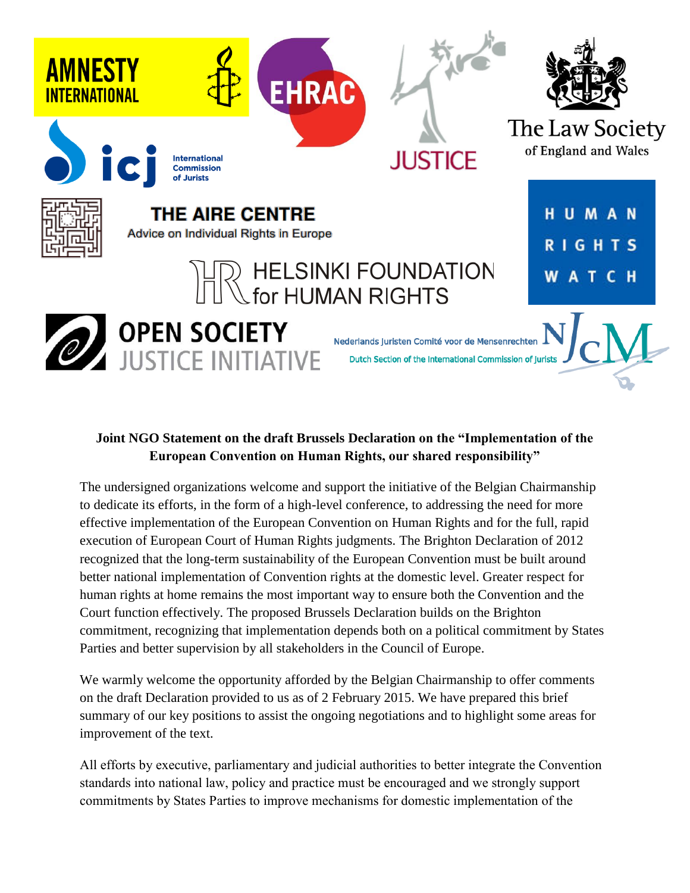

# **Joint NGO Statement on the draft Brussels Declaration on the "Implementation of the European Convention on Human Rights, our shared responsibility"**

The undersigned organizations welcome and support the initiative of the Belgian Chairmanship to dedicate its efforts, in the form of a high-level conference, to addressing the need for more effective implementation of the European Convention on Human Rights and for the full, rapid execution of European Court of Human Rights judgments. The Brighton Declaration of 2012 recognized that the long-term sustainability of the European Convention must be built around better national implementation of Convention rights at the domestic level. Greater respect for human rights at home remains the most important way to ensure both the Convention and the Court function effectively. The proposed Brussels Declaration builds on the Brighton commitment, recognizing that implementation depends both on a political commitment by States Parties and better supervision by all stakeholders in the Council of Europe.

We warmly welcome the opportunity afforded by the Belgian Chairmanship to offer comments on the draft Declaration provided to us as of 2 February 2015. We have prepared this brief summary of our key positions to assist the ongoing negotiations and to highlight some areas for improvement of the text.

All efforts by executive, parliamentary and judicial authorities to better integrate the Convention standards into national law, policy and practice must be encouraged and we strongly support commitments by States Parties to improve mechanisms for domestic implementation of the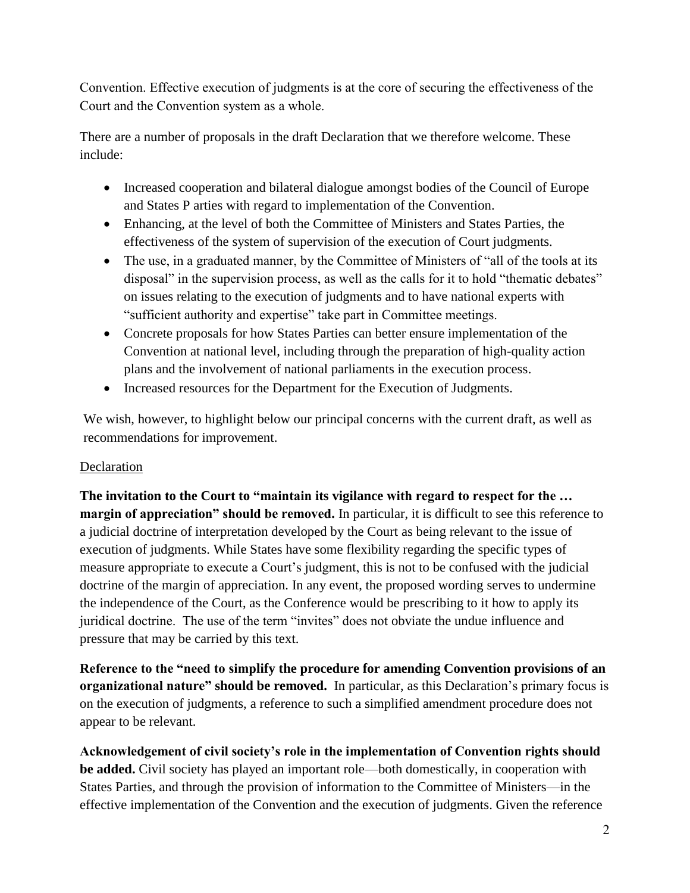Convention. Effective execution of judgments is at the core of securing the effectiveness of the Court and the Convention system as a whole.

There are a number of proposals in the draft Declaration that we therefore welcome. These include:

- Increased cooperation and bilateral dialogue amongst bodies of the Council of Europe and States P arties with regard to implementation of the Convention.
- Enhancing, at the level of both the Committee of Ministers and States Parties, the effectiveness of the system of supervision of the execution of Court judgments.
- The use, in a graduated manner, by the Committee of Ministers of "all of the tools at its disposal" in the supervision process, as well as the calls for it to hold "thematic debates" on issues relating to the execution of judgments and to have national experts with "sufficient authority and expertise" take part in Committee meetings.
- Concrete proposals for how States Parties can better ensure implementation of the Convention at national level, including through the preparation of high-quality action plans and the involvement of national parliaments in the execution process.
- Increased resources for the Department for the Execution of Judgments.

We wish, however, to highlight below our principal concerns with the current draft, as well as recommendations for improvement.

# Declaration

**The invitation to the Court to "maintain its vigilance with regard to respect for the … margin of appreciation" should be removed.** In particular, it is difficult to see this reference to a judicial doctrine of interpretation developed by the Court as being relevant to the issue of execution of judgments. While States have some flexibility regarding the specific types of measure appropriate to execute a Court's judgment, this is not to be confused with the judicial doctrine of the margin of appreciation. In any event, the proposed wording serves to undermine the independence of the Court, as the Conference would be prescribing to it how to apply its juridical doctrine. The use of the term "invites" does not obviate the undue influence and pressure that may be carried by this text.

**Reference to the "need to simplify the procedure for amending Convention provisions of an organizational nature" should be removed.** In particular, as this Declaration's primary focus is on the execution of judgments, a reference to such a simplified amendment procedure does not appear to be relevant.

**Acknowledgement of civil society's role in the implementation of Convention rights should be added.** Civil society has played an important role—both domestically, in cooperation with States Parties, and through the provision of information to the Committee of Ministers—in the effective implementation of the Convention and the execution of judgments. Given the reference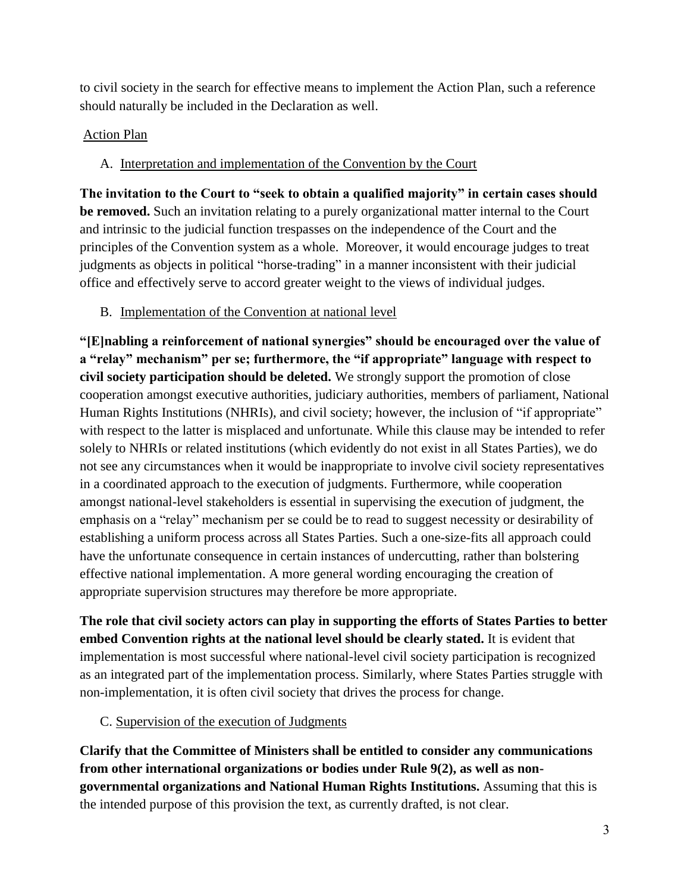to civil society in the search for effective means to implement the Action Plan, such a reference should naturally be included in the Declaration as well.

### Action Plan

## A. Interpretation and implementation of the Convention by the Court

**The invitation to the Court to "seek to obtain a qualified majority" in certain cases should be removed.** Such an invitation relating to a purely organizational matter internal to the Court and intrinsic to the judicial function trespasses on the independence of the Court and the principles of the Convention system as a whole. Moreover, it would encourage judges to treat judgments as objects in political "horse-trading" in a manner inconsistent with their judicial office and effectively serve to accord greater weight to the views of individual judges.

### B. Implementation of the Convention at national level

**"[E]nabling a reinforcement of national synergies" should be encouraged over the value of a "relay" mechanism" per se; furthermore, the "if appropriate" language with respect to civil society participation should be deleted.** We strongly support the promotion of close cooperation amongst executive authorities, judiciary authorities, members of parliament, National Human Rights Institutions (NHRIs), and civil society; however, the inclusion of "if appropriate" with respect to the latter is misplaced and unfortunate. While this clause may be intended to refer solely to NHRIs or related institutions (which evidently do not exist in all States Parties), we do not see any circumstances when it would be inappropriate to involve civil society representatives in a coordinated approach to the execution of judgments. Furthermore, while cooperation amongst national-level stakeholders is essential in supervising the execution of judgment, the emphasis on a "relay" mechanism per se could be to read to suggest necessity or desirability of establishing a uniform process across all States Parties. Such a one-size-fits all approach could have the unfortunate consequence in certain instances of undercutting, rather than bolstering effective national implementation. A more general wording encouraging the creation of appropriate supervision structures may therefore be more appropriate.

**The role that civil society actors can play in supporting the efforts of States Parties to better embed Convention rights at the national level should be clearly stated.** It is evident that implementation is most successful where national-level civil society participation is recognized as an integrated part of the implementation process. Similarly, where States Parties struggle with non-implementation, it is often civil society that drives the process for change.

#### C. Supervision of the execution of Judgments

**Clarify that the Committee of Ministers shall be entitled to consider any communications from other international organizations or bodies under Rule 9(2), as well as nongovernmental organizations and National Human Rights Institutions.** Assuming that this is the intended purpose of this provision the text, as currently drafted, is not clear.